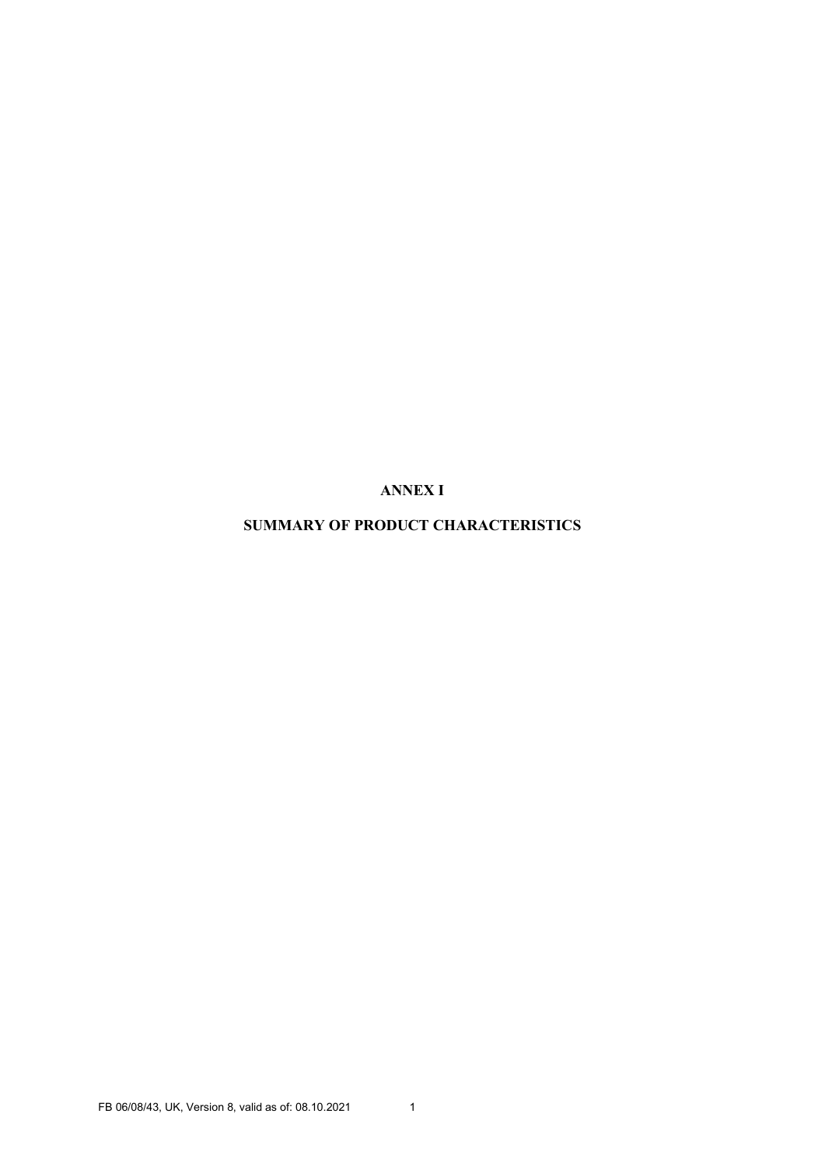ANNEX I

SUMMARY OF PRODUCT CHARACTERISTICS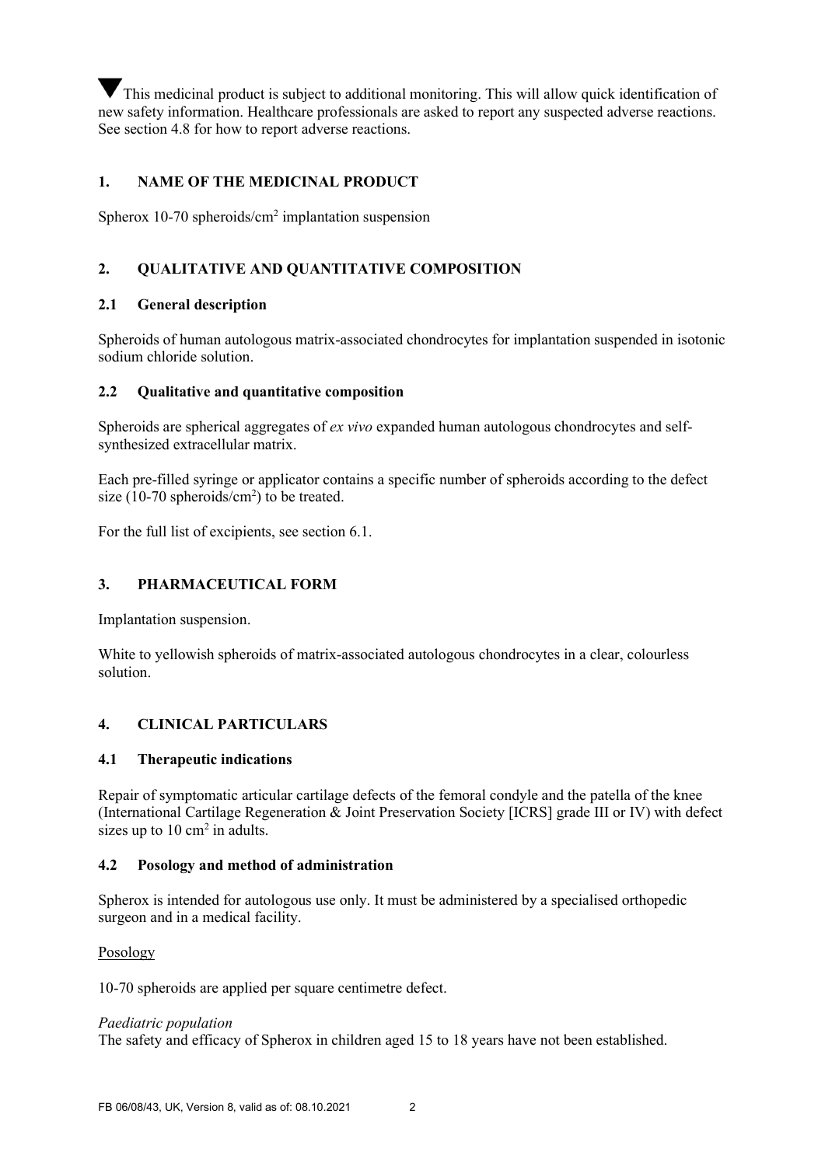This medicinal product is subject to additional monitoring. This will allow quick identification of new safety information. Healthcare professionals are asked to report any suspected adverse reactions. See section 4.8 for how to report adverse reactions.

## 1. NAME OF THE MEDICINAL PRODUCT

Spherox 10-70 spheroids/cm<sup>2</sup> implantation suspension

## 2. QUALITATIVE AND QUANTITATIVE COMPOSITION

### 2.1 General description

Spheroids of human autologous matrix-associated chondrocytes for implantation suspended in isotonic sodium chloride solution.

#### 2.2 Oualitative and quantitative composition

Spheroids are spherical aggregates of ex vivo expanded human autologous chondrocytes and selfsynthesized extracellular matrix.

Each pre-filled syringe or applicator contains a specific number of spheroids according to the defect size (10-70 spheroids/cm<sup>2</sup>) to be treated.

For the full list of excipients, see section 6.1.

### 3. PHARMACEUTICAL FORM

Implantation suspension.

White to yellowish spheroids of matrix-associated autologous chondrocytes in a clear, colourless solution.

## 4. CLINICAL PARTICULARS

#### 4.1 Therapeutic indications

Repair of symptomatic articular cartilage defects of the femoral condyle and the patella of the knee (International Cartilage Regeneration & Joint Preservation Society [ICRS] grade III or IV) with defect sizes up to  $10 \text{ cm}^2$  in adults.

#### 4.2 Posology and method of administration

Spherox is intended for autologous use only. It must be administered by a specialised orthopedic surgeon and in a medical facility.

Posology

10-70 spheroids are applied per square centimetre defect.

#### Paediatric population

The safety and efficacy of Spherox in children aged 15 to 18 years have not been established.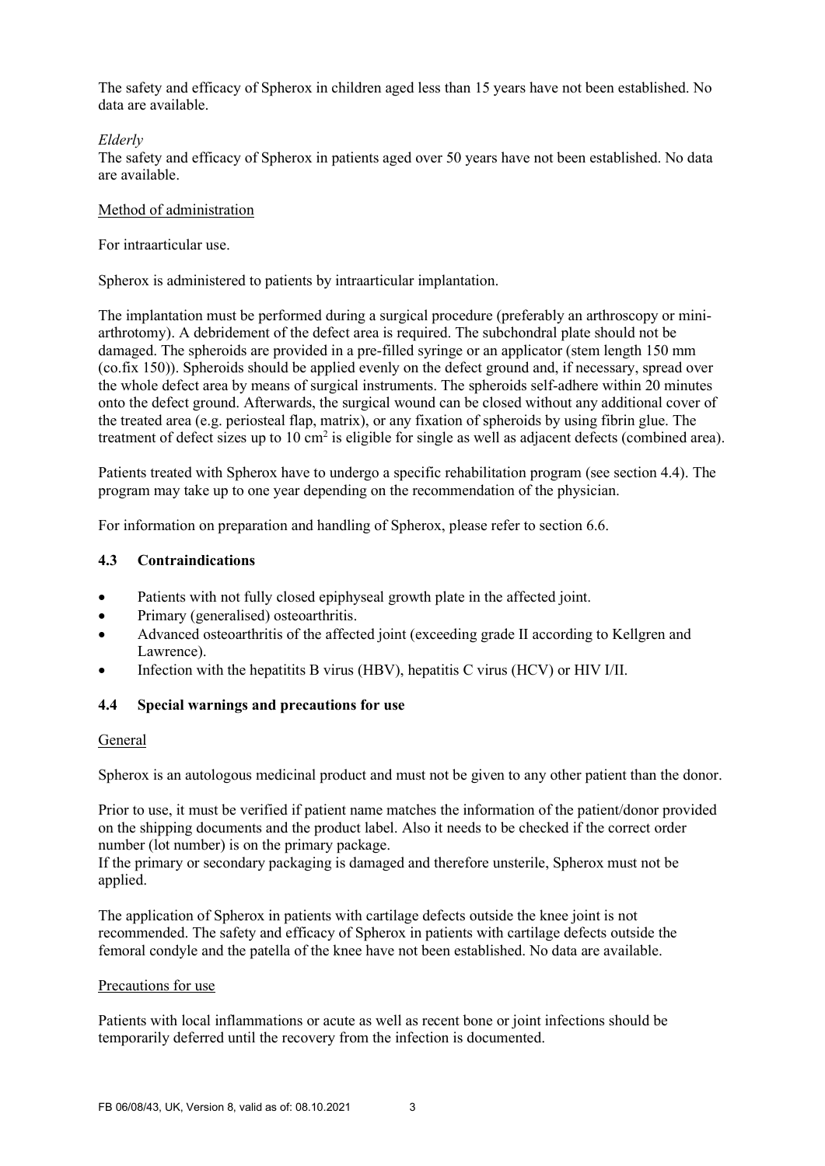The safety and efficacy of Spherox in children aged less than 15 years have not been established. No data are available.

### Elderly

The safety and efficacy of Spherox in patients aged over 50 years have not been established. No data are available.

### Method of administration

For intraarticular use.

Spherox is administered to patients by intraarticular implantation.

The implantation must be performed during a surgical procedure (preferably an arthroscopy or miniarthrotomy). A debridement of the defect area is required. The subchondral plate should not be damaged. The spheroids are provided in a pre-filled syringe or an applicator (stem length 150 mm (co.fix 150)). Spheroids should be applied evenly on the defect ground and, if necessary, spread over the whole defect area by means of surgical instruments. The spheroids self-adhere within 20 minutes onto the defect ground. Afterwards, the surgical wound can be closed without any additional cover of the treated area (e.g. periosteal flap, matrix), or any fixation of spheroids by using fibrin glue. The treatment of defect sizes up to  $10 \text{ cm}^2$  is eligible for single as well as adjacent defects (combined area).

Patients treated with Spherox have to undergo a specific rehabilitation program (see section 4.4). The program may take up to one year depending on the recommendation of the physician.

For information on preparation and handling of Spherox, please refer to section 6.6.

### 4.3 Contraindications

- Patients with not fully closed epiphyseal growth plate in the affected joint.
- Primary (generalised) osteoarthritis.
- Advanced osteoarthritis of the affected joint (exceeding grade II according to Kellgren and Lawrence).
- Infection with the hepatitits B virus (HBV), hepatitis C virus (HCV) or HIV I/II.

## 4.4 Special warnings and precautions for use

#### General

Spherox is an autologous medicinal product and must not be given to any other patient than the donor.

Prior to use, it must be verified if patient name matches the information of the patient/donor provided on the shipping documents and the product label. Also it needs to be checked if the correct order number (lot number) is on the primary package.

If the primary or secondary packaging is damaged and therefore unsterile, Spherox must not be applied.

The application of Spherox in patients with cartilage defects outside the knee joint is not recommended. The safety and efficacy of Spherox in patients with cartilage defects outside the femoral condyle and the patella of the knee have not been established. No data are available.

#### Precautions for use

Patients with local inflammations or acute as well as recent bone or joint infections should be temporarily deferred until the recovery from the infection is documented.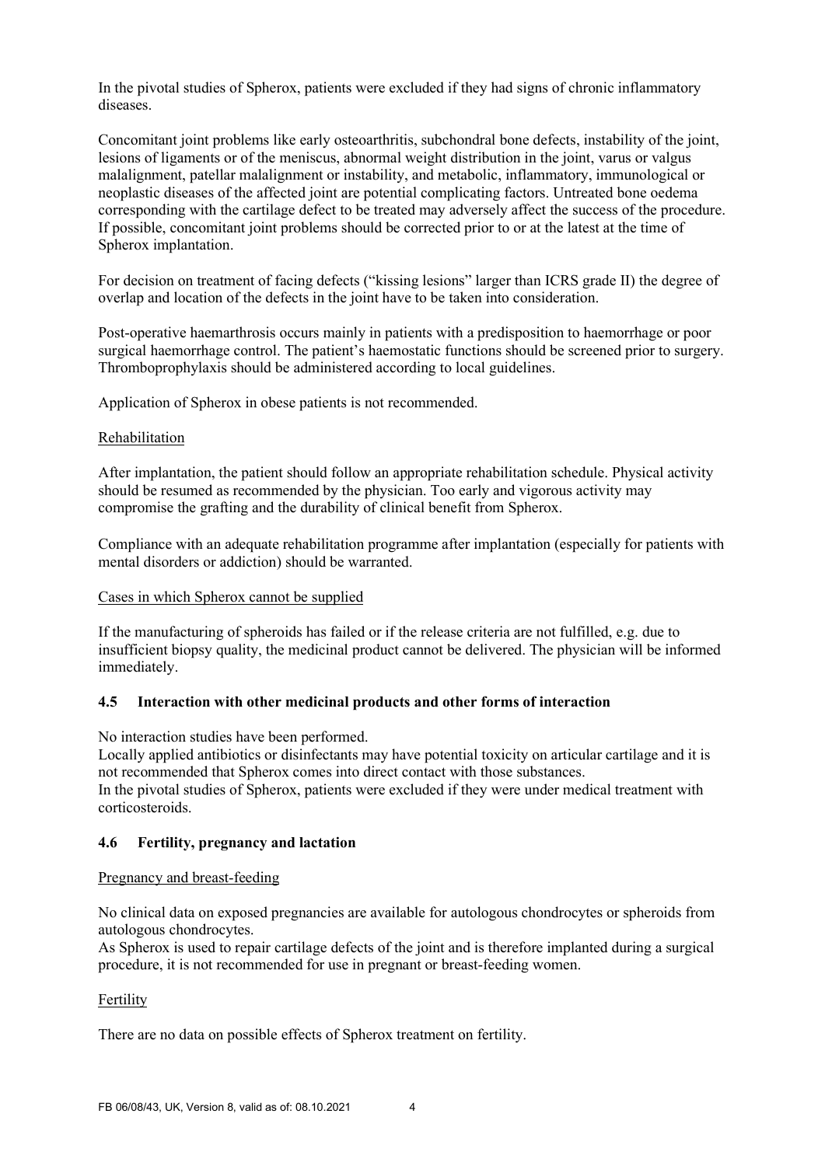In the pivotal studies of Spherox, patients were excluded if they had signs of chronic inflammatory diseases.

Concomitant joint problems like early osteoarthritis, subchondral bone defects, instability of the joint, lesions of ligaments or of the meniscus, abnormal weight distribution in the joint, varus or valgus malalignment, patellar malalignment or instability, and metabolic, inflammatory, immunological or neoplastic diseases of the affected joint are potential complicating factors. Untreated bone oedema corresponding with the cartilage defect to be treated may adversely affect the success of the procedure. If possible, concomitant joint problems should be corrected prior to or at the latest at the time of Spherox implantation.

For decision on treatment of facing defects ("kissing lesions" larger than ICRS grade II) the degree of overlap and location of the defects in the joint have to be taken into consideration.

Post-operative haemarthrosis occurs mainly in patients with a predisposition to haemorrhage or poor surgical haemorrhage control. The patient's haemostatic functions should be screened prior to surgery. Thromboprophylaxis should be administered according to local guidelines.

Application of Spherox in obese patients is not recommended.

#### Rehabilitation

After implantation, the patient should follow an appropriate rehabilitation schedule. Physical activity should be resumed as recommended by the physician. Too early and vigorous activity may compromise the grafting and the durability of clinical benefit from Spherox.

Compliance with an adequate rehabilitation programme after implantation (especially for patients with mental disorders or addiction) should be warranted.

#### Cases in which Spherox cannot be supplied

If the manufacturing of spheroids has failed or if the release criteria are not fulfilled, e.g. due to insufficient biopsy quality, the medicinal product cannot be delivered. The physician will be informed immediately.

#### 4.5 Interaction with other medicinal products and other forms of interaction

No interaction studies have been performed.

Locally applied antibiotics or disinfectants may have potential toxicity on articular cartilage and it is not recommended that Spherox comes into direct contact with those substances. In the pivotal studies of Spherox, patients were excluded if they were under medical treatment with corticosteroids.

#### 4.6 Fertility, pregnancy and lactation

#### Pregnancy and breast-feeding

No clinical data on exposed pregnancies are available for autologous chondrocytes or spheroids from autologous chondrocytes.

As Spherox is used to repair cartilage defects of the joint and is therefore implanted during a surgical procedure, it is not recommended for use in pregnant or breast-feeding women.

### Fertility

There are no data on possible effects of Spherox treatment on fertility.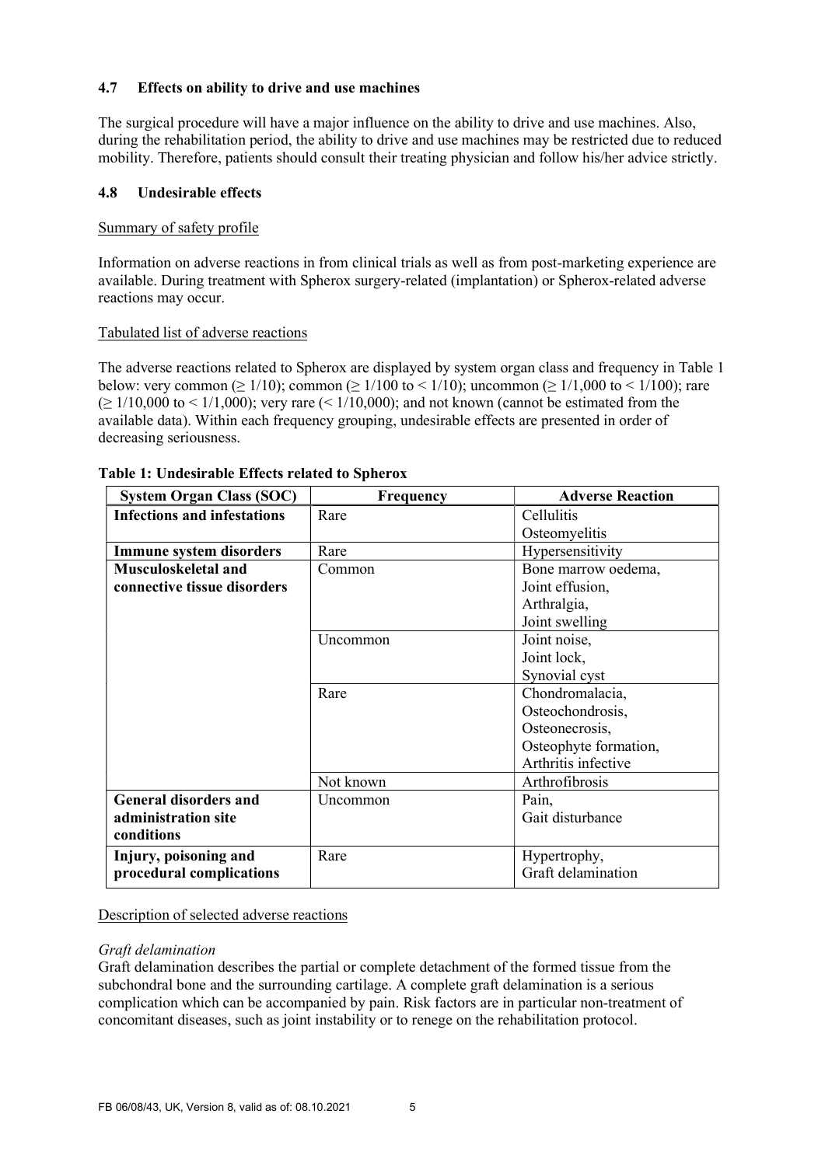## 4.7 Effects on ability to drive and use machines

The surgical procedure will have a major influence on the ability to drive and use machines. Also, during the rehabilitation period, the ability to drive and use machines may be restricted due to reduced mobility. Therefore, patients should consult their treating physician and follow his/her advice strictly.

## 4.8 Undesirable effects

## Summary of safety profile

Information on adverse reactions in from clinical trials as well as from post-marketing experience are available. During treatment with Spherox surgery-related (implantation) or Spherox-related adverse reactions may occur.

## Tabulated list of adverse reactions

The adverse reactions related to Spherox are displayed by system organ class and frequency in Table 1 below: very common ( $\geq 1/10$ ); common ( $\geq 1/100$  to  $\leq 1/10$ ); uncommon ( $\geq 1/1,000$  to  $\leq 1/100$ ); rare  $\geq 1/10,000$  to  $\leq 1/1,000$ ; very rare  $\leq 1/10,000$ ; and not known (cannot be estimated from the available data). Within each frequency grouping, undesirable effects are presented in order of decreasing seriousness.

| <b>System Organ Class (SOC)</b>    | <b>Frequency</b> | <b>Adverse Reaction</b> |
|------------------------------------|------------------|-------------------------|
| <b>Infections and infestations</b> | Rare             | Cellulitis              |
|                                    |                  | Osteomyelitis           |
| <b>Immune system disorders</b>     | Rare             | Hypersensitivity        |
| <b>Musculoskeletal and</b>         | Common           | Bone marrow oedema,     |
| connective tissue disorders        |                  | Joint effusion,         |
|                                    |                  | Arthralgia,             |
|                                    |                  | Joint swelling          |
|                                    | Uncommon         | Joint noise,            |
|                                    |                  | Joint lock,             |
|                                    |                  | Synovial cyst           |
|                                    | Rare             | Chondromalacia,         |
|                                    |                  | Osteochondrosis,        |
|                                    |                  | Osteonecrosis,          |
|                                    |                  | Osteophyte formation,   |
|                                    |                  | Arthritis infective     |
|                                    | Not known        | Arthrofibrosis          |
| <b>General disorders and</b>       | Uncommon         | Pain,                   |
| administration site                |                  | Gait disturbance        |
| conditions                         |                  |                         |
| Injury, poisoning and              | Rare             | Hypertrophy,            |
| procedural complications           |                  | Graft delamination      |

## Table 1: Undesirable Effects related to Spherox

Description of selected adverse reactions

#### Graft delamination

Graft delamination describes the partial or complete detachment of the formed tissue from the subchondral bone and the surrounding cartilage. A complete graft delamination is a serious complication which can be accompanied by pain. Risk factors are in particular non-treatment of concomitant diseases, such as joint instability or to renege on the rehabilitation protocol.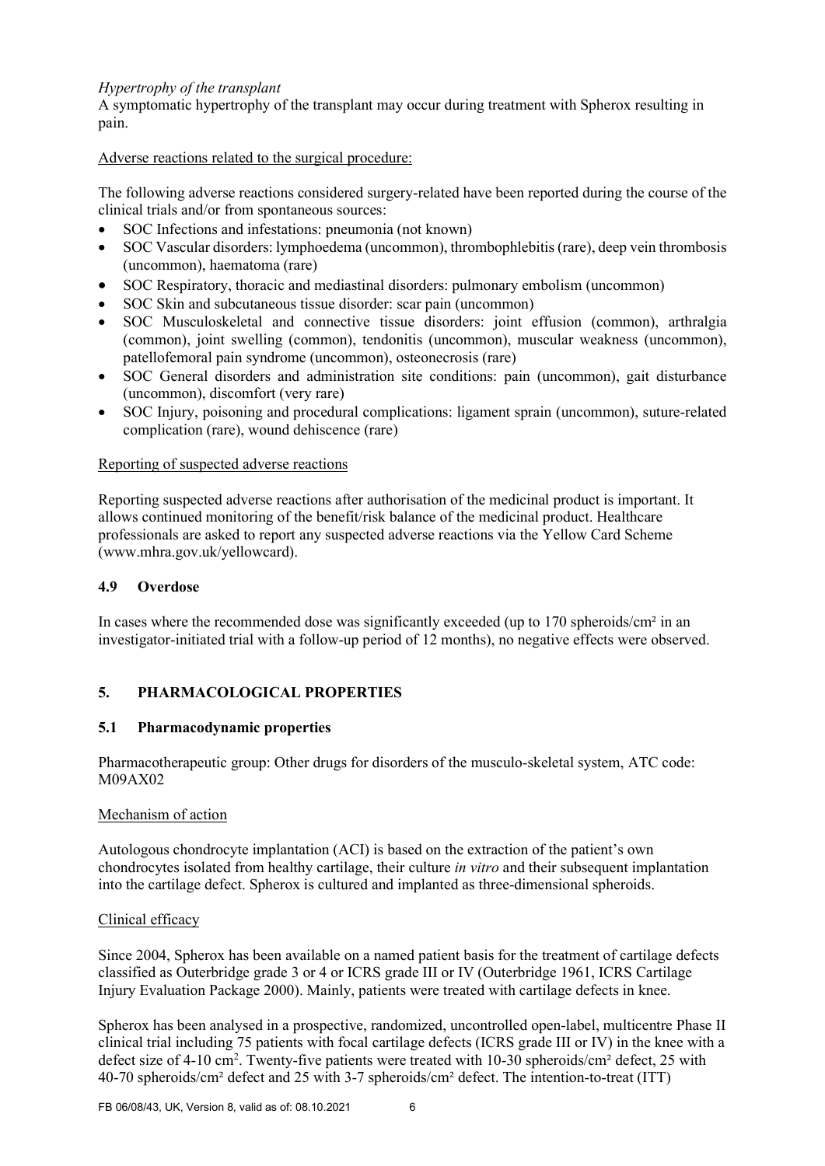### Hypertrophy of the transplant

A symptomatic hypertrophy of the transplant may occur during treatment with Spherox resulting in pain.

Adverse reactions related to the surgical procedure:

The following adverse reactions considered surgery-related have been reported during the course of the clinical trials and/or from spontaneous sources:

- SOC Infections and infestations: pneumonia (not known)
- SOC Vascular disorders: lymphoedema (uncommon), thrombophlebitis (rare), deep vein thrombosis (uncommon), haematoma (rare)
- SOC Respiratory, thoracic and mediastinal disorders: pulmonary embolism (uncommon)
- SOC Skin and subcutaneous tissue disorder: scar pain (uncommon)
- SOC Musculoskeletal and connective tissue disorders: joint effusion (common), arthralgia (common), joint swelling (common), tendonitis (uncommon), muscular weakness (uncommon), patellofemoral pain syndrome (uncommon), osteonecrosis (rare)
- SOC General disorders and administration site conditions: pain (uncommon), gait disturbance (uncommon), discomfort (very rare)
- SOC Injury, poisoning and procedural complications: ligament sprain (uncommon), suture-related complication (rare), wound dehiscence (rare)

### Reporting of suspected adverse reactions

Reporting suspected adverse reactions after authorisation of the medicinal product is important. It allows continued monitoring of the benefit/risk balance of the medicinal product. Healthcare professionals are asked to report any suspected adverse reactions via the Yellow Card Scheme (www.mhra.gov.uk/yellowcard).

#### 4.9 Overdose

In cases where the recommended dose was significantly exceeded (up to 170 spheroids/cm<sup>2</sup> in an investigator-initiated trial with a follow-up period of 12 months), no negative effects were observed.

## 5. PHARMACOLOGICAL PROPERTIES

#### 5.1 Pharmacodynamic properties

Pharmacotherapeutic group: Other drugs for disorders of the musculo-skeletal system, ATC code: M09AX02

#### Mechanism of action

Autologous chondrocyte implantation (ACI) is based on the extraction of the patient's own chondrocytes isolated from healthy cartilage, their culture *in vitro* and their subsequent implantation into the cartilage defect. Spherox is cultured and implanted as three-dimensional spheroids.

#### Clinical efficacy

Since 2004, Spherox has been available on a named patient basis for the treatment of cartilage defects classified as Outerbridge grade 3 or 4 or ICRS grade III or IV (Outerbridge 1961, ICRS Cartilage Injury Evaluation Package 2000). Mainly, patients were treated with cartilage defects in knee.

Spherox has been analysed in a prospective, randomized, uncontrolled open-label, multicentre Phase II clinical trial including 75 patients with focal cartilage defects (ICRS grade III or IV) in the knee with a defect size of 4-10 cm<sup>2</sup>. Twenty-five patients were treated with 10-30 spheroids/cm<sup>2</sup> defect, 25 with 40-70 spheroids/cm² defect and 25 with 3-7 spheroids/cm² defect. The intention-to-treat (ITT)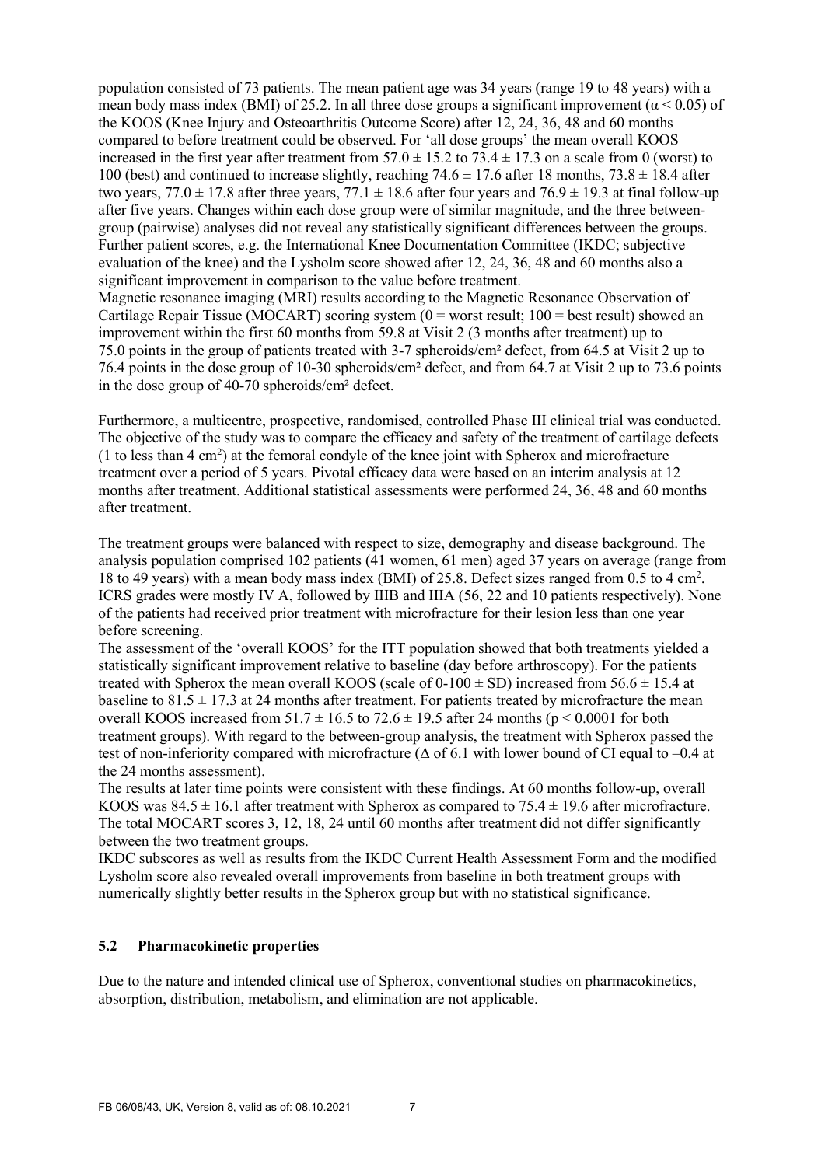population consisted of 73 patients. The mean patient age was 34 years (range 19 to 48 years) with a mean body mass index (BMI) of 25.2. In all three dose groups a significant improvement ( $\alpha$  < 0.05) of the KOOS (Knee Injury and Osteoarthritis Outcome Score) after 12, 24, 36, 48 and 60 months compared to before treatment could be observed. For 'all dose groups' the mean overall KOOS increased in the first year after treatment from  $57.0 \pm 15.2$  to  $73.4 \pm 17.3$  on a scale from 0 (worst) to 100 (best) and continued to increase slightly, reaching  $74.6 \pm 17.6$  after 18 months,  $73.8 \pm 18.4$  after two years,  $77.0 \pm 17.8$  after three years,  $77.1 \pm 18.6$  after four years and  $76.9 \pm 19.3$  at final follow-up after five years. Changes within each dose group were of similar magnitude, and the three betweengroup (pairwise) analyses did not reveal any statistically significant differences between the groups. Further patient scores, e.g. the International Knee Documentation Committee (IKDC; subjective evaluation of the knee) and the Lysholm score showed after 12, 24, 36, 48 and 60 months also a significant improvement in comparison to the value before treatment. Magnetic resonance imaging (MRI) results according to the Magnetic Resonance Observation of Cartilage Repair Tissue (MOCART) scoring system  $(0 = \text{worst result}; 100 = \text{best result})$  showed an improvement within the first 60 months from 59.8 at Visit 2 (3 months after treatment) up to 75.0 points in the group of patients treated with 3-7 spheroids/cm² defect, from 64.5 at Visit 2 up to 76.4 points in the dose group of 10-30 spheroids/cm² defect, and from 64.7 at Visit 2 up to 73.6 points

in the dose group of 40-70 spheroids/cm² defect.

Furthermore, a multicentre, prospective, randomised, controlled Phase III clinical trial was conducted. The objective of the study was to compare the efficacy and safety of the treatment of cartilage defects  $(1)$  to less than  $4 \text{ cm}^2$ ) at the femoral condyle of the knee joint with Spherox and microfracture treatment over a period of 5 years. Pivotal efficacy data were based on an interim analysis at 12 months after treatment. Additional statistical assessments were performed 24, 36, 48 and 60 months after treatment.

The treatment groups were balanced with respect to size, demography and disease background. The analysis population comprised 102 patients (41 women, 61 men) aged 37 years on average (range from 18 to 49 years) with a mean body mass index (BMI) of 25.8. Defect sizes ranged from 0.5 to 4 cm<sup>2</sup> . ICRS grades were mostly IV A, followed by IIIB and IIIA (56, 22 and 10 patients respectively). None of the patients had received prior treatment with microfracture for their lesion less than one year before screening.

The assessment of the 'overall KOOS' for the ITT population showed that both treatments yielded a statistically significant improvement relative to baseline (day before arthroscopy). For the patients treated with Spherox the mean overall KOOS (scale of  $0-100 \pm SD$ ) increased from 56.6  $\pm$  15.4 at baseline to  $81.5 \pm 17.3$  at 24 months after treatment. For patients treated by microfracture the mean overall KOOS increased from  $51.7 \pm 16.5$  to  $72.6 \pm 19.5$  after 24 months (p < 0.0001 for both treatment groups). With regard to the between-group analysis, the treatment with Spherox passed the test of non-inferiority compared with microfracture ( $\Delta$  of 6.1 with lower bound of CI equal to –0.4 at the 24 months assessment).

The results at later time points were consistent with these findings. At 60 months follow-up, overall KOOS was  $84.5 \pm 16.1$  after treatment with Spherox as compared to  $75.4 \pm 19.6$  after microfracture. The total MOCART scores 3, 12, 18, 24 until 60 months after treatment did not differ significantly between the two treatment groups.

IKDC subscores as well as results from the IKDC Current Health Assessment Form and the modified Lysholm score also revealed overall improvements from baseline in both treatment groups with numerically slightly better results in the Spherox group but with no statistical significance.

### 5.2 Pharmacokinetic properties

Due to the nature and intended clinical use of Spherox, conventional studies on pharmacokinetics, absorption, distribution, metabolism, and elimination are not applicable.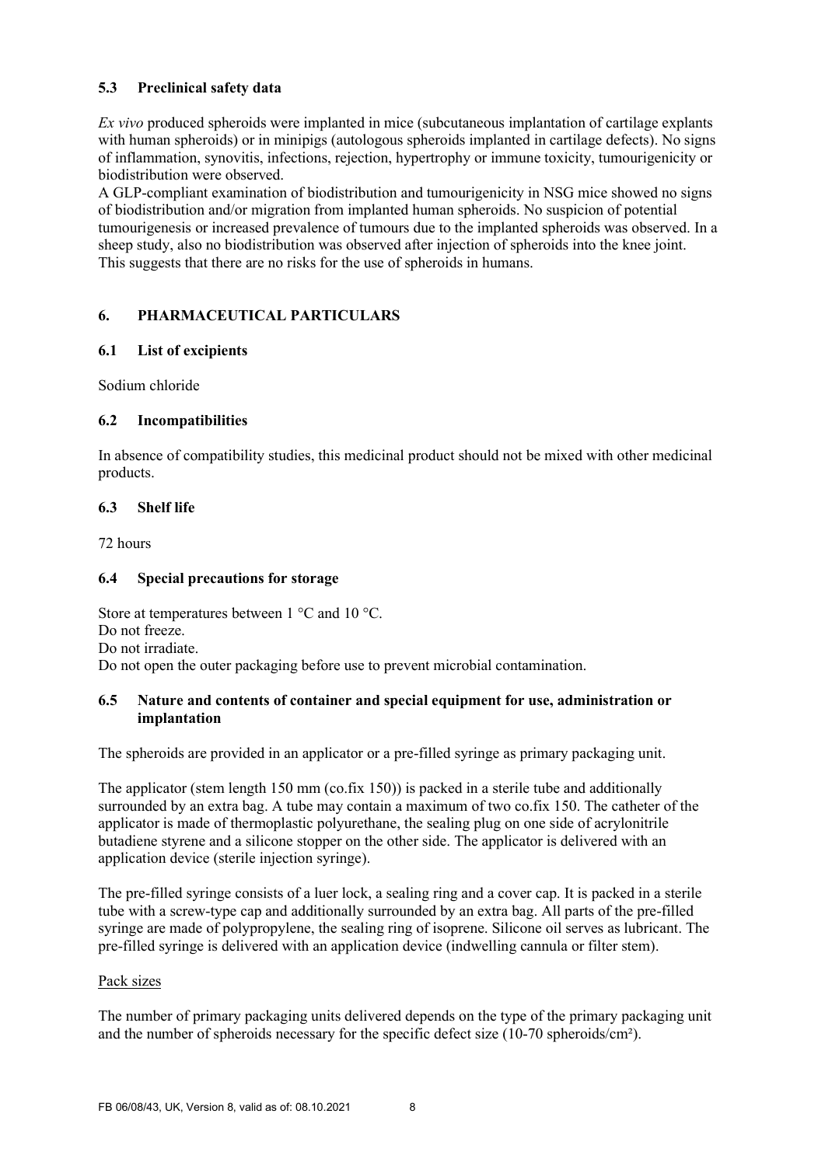# 5.3 Preclinical safety data

Ex vivo produced spheroids were implanted in mice (subcutaneous implantation of cartilage explants with human spheroids) or in minipigs (autologous spheroids implanted in cartilage defects). No signs of inflammation, synovitis, infections, rejection, hypertrophy or immune toxicity, tumourigenicity or biodistribution were observed.

A GLP-compliant examination of biodistribution and tumourigenicity in NSG mice showed no signs of biodistribution and/or migration from implanted human spheroids. No suspicion of potential tumourigenesis or increased prevalence of tumours due to the implanted spheroids was observed. In a sheep study, also no biodistribution was observed after injection of spheroids into the knee joint. This suggests that there are no risks for the use of spheroids in humans.

# 6. PHARMACEUTICAL PARTICULARS

## 6.1 List of excipients

Sodium chloride

# 6.2 Incompatibilities

In absence of compatibility studies, this medicinal product should not be mixed with other medicinal products.

## 6.3 Shelf life

72 hours

## 6.4 Special precautions for storage

Store at temperatures between 1 °C and 10 °C. Do not freeze. Do not irradiate. Do not open the outer packaging before use to prevent microbial contamination.

## 6.5 Nature and contents of container and special equipment for use, administration or implantation

The spheroids are provided in an applicator or a pre-filled syringe as primary packaging unit.

The applicator (stem length  $150 \text{ mm}$  (co.fix  $150$ )) is packed in a sterile tube and additionally surrounded by an extra bag. A tube may contain a maximum of two co.fix 150. The catheter of the applicator is made of thermoplastic polyurethane, the sealing plug on one side of acrylonitrile butadiene styrene and a silicone stopper on the other side. The applicator is delivered with an application device (sterile injection syringe).

The pre-filled syringe consists of a luer lock, a sealing ring and a cover cap. It is packed in a sterile tube with a screw-type cap and additionally surrounded by an extra bag. All parts of the pre-filled syringe are made of polypropylene, the sealing ring of isoprene. Silicone oil serves as lubricant. The pre-filled syringe is delivered with an application device (indwelling cannula or filter stem).

## Pack sizes

The number of primary packaging units delivered depends on the type of the primary packaging unit and the number of spheroids necessary for the specific defect size (10-70 spheroids/cm²).